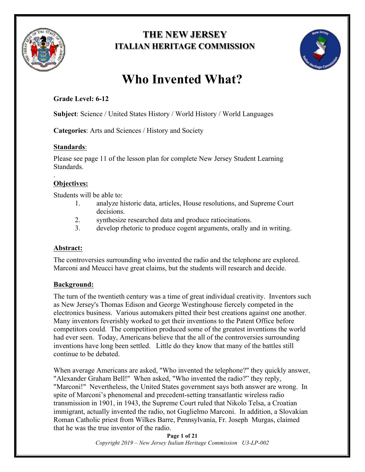

# **THE NEW JERSEY ITALIAN HERITAGE COMMISSION**



# **Who Invented What?**

## **Grade Level: 6-12**

**Subject**: Science / United States History / World History / World Languages

**Categories**: Arts and Sciences / History and Society

## **Standards**:

Please see page 11 of the lesson plan for complete New Jersey Student Learning Standards.

#### . **Objectives:**

Students will be able to:

- 1. analyze historic data, articles, House resolutions, and Supreme Court decisions.
- 2. synthesize researched data and produce ratiocinations.
- 3. develop rhetoric to produce cogent arguments, orally and in writing.

### **Abstract:**

The controversies surrounding who invented the radio and the telephone are explored. Marconi and Meucci have great claims, but the students will research and decide.

## **Background:**

The turn of the twentieth century was a time of great individual creativity. Inventors such as New Jersey's Thomas Edison and George Westinghouse fiercely competed in the electronics business. Various automakers pitted their best creations against one another. Many inventors feverishly worked to get their inventions to the Patent Office before competitors could. The competition produced some of the greatest inventions the world had ever seen. Today, Americans believe that the all of the controversies surrounding inventions have long been settled. Little do they know that many of the battles still continue to be debated.

When average Americans are asked, "Who invented the telephone?" they quickly answer, "Alexander Graham Bell!" When asked, "Who invented the radio?" they reply, "Marconi!" Nevertheless, the United States government says both answer are wrong. In spite of Marconi's phenomenal and precedent-setting transatlantic wireless radio transmission in 1901, in 1943, the Supreme Court ruled that Nikolo Telsa, a Croatian immigrant, actually invented the radio, not Guglielmo Marconi. In addition, a Slovakian Roman Catholic priest from Wilkes Barre, Pennsylvania, Fr. Joseph Murgas, claimed that he was the true inventor of the radio.

> **Page 1 of 21** *Copyright 2019 – New Jersey Italian Heritage Commission U3-LP-002*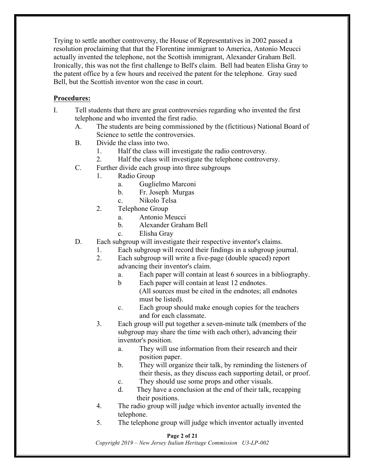Trying to settle another controversy, the House of Representatives in 2002 passed a resolution proclaiming that that the Florentine immigrant to America, Antonio Meucci actually invented the telephone, not the Scottish immigrant, Alexander Graham Bell. Ironically, this was not the first challenge to Bell's claim. Bell had beaten Elisha Gray to the patent office by a few hours and received the patent for the telephone. Gray sued Bell, but the Scottish inventor won the case in court.

### **Procedures:**

- I. Tell students that there are great controversies regarding who invented the first telephone and who invented the first radio.
	- A. The students are being commissioned by the (fictitious) National Board of Science to settle the controversies.
	- B. Divide the class into two.
		- 1. Half the class will investigate the radio controversy.
		- 2. Half the class will investigate the telephone controversy.
	- C. Further divide each group into three subgroups
		- 1. Radio Group
			- a. Guglielmo Marconi
			- b. Fr. Joseph Murgas
			- c. Nikolo Telsa
			- 2. Telephone Group
				- a. Antonio Meucci
				- b. Alexander Graham Bell
				- c. Elisha Gray
	- D. Each subgroup will investigate their respective inventor's claims.
		- 1. Each subgroup will record their findings in a subgroup journal.
			- 2. Each subgroup will write a five-page (double spaced) report advancing their inventor's claim.
				- a. Each paper will contain at least 6 sources in a bibliography.
				- b Each paper will contain at least 12 endnotes.
					- (All sources must be cited in the endnotes; all endnotes must be listed).
				- c. Each group should make enough copies for the teachers and for each classmate.
			- 3. Each group will put together a seven-minute talk (members of the subgroup may share the time with each other), advancing their inventor's position.
				- a. They will use information from their research and their position paper.
				- b. They will organize their talk, by reminding the listeners of their thesis, as they discuss each supporting detail, or proof.
				- c. They should use some props and other visuals.
				- d. They have a conclusion at the end of their talk, recapping their positions.
			- 4. The radio group will judge which inventor actually invented the telephone.
			- 5. The telephone group will judge which inventor actually invented

#### **Page 2 of 21**

*Copyright 2019 – New Jersey Italian Heritage Commission U3-LP-002*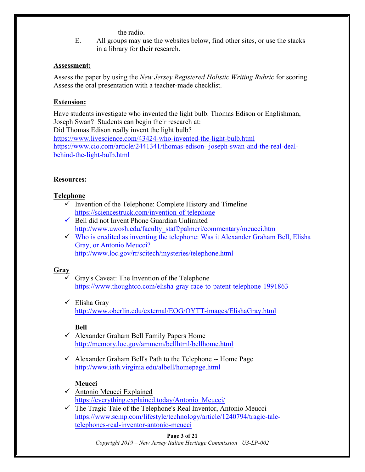#### the radio.

E. All groups may use the websites below, find other sites, or use the stacks in a library for their research.

#### **Assessment:**

Assess the paper by using the *New Jersey Registered Holistic Writing Rubric* for scoring. Assess the oral presentation with a teacher-made checklist.

#### **Extension:**

Have students investigate who invented the light bulb. Thomas Edison or Englishman, Joseph Swan? Students can begin their research at: Did Thomas Edison really invent the light bulb? https://www.livescience.com/43424-who-invented-the-light-bulb.html https://www.cio.com/article/2441341/thomas-edison--joseph-swan-and-the-real-dealbehind-the-light-bulb.html

#### **Resources:**

#### **Telephone**

- $\checkmark$  Invention of the Telephone: Complete History and Timeline https://sciencestruck.com/invention-of-telephone
- $\checkmark$  Bell did not Invent Phone Guardian Unlimited http://www.uwosh.edu/faculty\_staff/palmeri/commentary/meucci.htm
- $\checkmark$  Who is credited as inventing the telephone: Was it Alexander Graham Bell, Elisha Gray, or Antonio Meucci? http://www.loc.gov/rr/scitech/mysteries/telephone.html

#### **Gray**

- $\checkmark$  Gray's Caveat: The Invention of the Telephone https://www.thoughtco.com/elisha-gray-race-to-patent-telephone-1991863
- $\checkmark$  Elisha Gray http://www.oberlin.edu/external/EOG/OYTT-images/ElishaGray.html

#### **Bell**

- $\checkmark$  Alexander Graham Bell Family Papers Home http://memory.loc.gov/ammem/bellhtml/bellhome.html
- $\checkmark$  Alexander Graham Bell's Path to the Telephone -- Home Page http://www.iath.virginia.edu/albell/homepage.html

#### **Meucci**

- $\checkmark$  Antonio Meucci Explained https://everything.explained.today/Antonio\_Meucci/
- $\checkmark$  The Tragic Tale of the Telephone's Real Inventor, Antonio Meucci https://www.scmp.com/lifestyle/technology/article/1240794/tragic-taletelephones-real-inventor-antonio-meucci

#### **Page 3 of 21**

*Copyright 2019 – New Jersey Italian Heritage Commission U3-LP-002*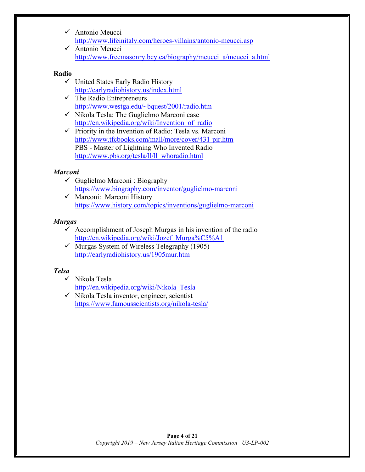- $\checkmark$  Antonio Meucci http://www.lifeinitaly.com/heroes-villains/antonio-meucci.asp
- $\checkmark$  Antonio Meucci http://www.freemasonry.bcy.ca/biography/meucci\_a/meucci\_a.html

#### **Radio**

- $\checkmark$  United States Early Radio History http://earlyradiohistory.us/index.html
- $\checkmark$  The Radio Entrepreneurs http://www.westga.edu/~bquest/2001/radio.htm
- $\checkmark$  Nikola Tesla: The Guglielmo Marconi case http://en.wikipedia.org/wiki/Invention\_of\_radio
- $\checkmark$  Priority in the Invention of Radio: Tesla vs. Marconi http://www.tfcbooks.com/mall/more/cover/431-pir.htm PBS - Master of Lightning Who Invented Radio http://www.pbs.org/tesla/ll/ll\_whoradio.html

### *Marconi*

- $\checkmark$  Guglielmo Marconi : Biography https://www.biography.com/inventor/guglielmo-marconi
- $\checkmark$  Marconi: Marconi History https://www.history.com/topics/inventions/guglielmo-marconi

#### *Murgas*

- $\checkmark$  Accomplishment of Joseph Murgas in his invention of the radio http://en.wikipedia.org/wiki/Jozef\_Murga%C5%A1
- $\checkmark$  Murgas System of Wireless Telegraphy (1905) http://earlyradiohistory.us/1905mur.htm

### *Telsa*

- $\checkmark$  Nikola Tesla http://en.wikipedia.org/wiki/Nikola\_Tesla
- $\checkmark$  Nikola Tesla inventor, engineer, scientist https://www.famousscientists.org/nikola-tesla/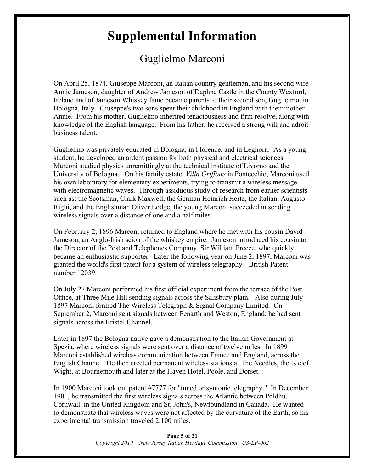# **Supplemental Information**

# Guglielmo Marconi

On April 25, 1874, Giuseppe Marconi, an Italian country gentleman, and his second wife Annie Jameson, daughter of Andrew Jameson of Daphne Castle in the County Wexford, Ireland and of Jameson Whiskey fame became parents to their second son, Guglielmo, in Bologna, Italy. Giuseppe's two sons spent their childhood in England with their mother Annie. From his mother, Guglielmo inherited tenaciousness and firm resolve, along with knowledge of the English language. From his father, he received a strong will and adroit business talent.

Guglielmo was privately educated in Bologna, in Florence, and in Leghorn. As a young student, he developed an ardent passion for both physical and electrical sciences. Marconi studied physics unremittingly at the technical institute of Livorno and the University of Bologna. On his family estate, *Villa Griffone* in Pontecchio, Marconi used his own laboratory for elementary experiments, trying to transmit a wireless message with electromagnetic waves. Through assiduous study of research from earlier scientists such as: the Scotsman, Clark Maxwell, the German Heinrich Hertz, the Italian, Augusto Righi, and the Englishman Oliver Lodge, the young Marconi succeeded in sending wireless signals over a distance of one and a half miles.

On February 2, 1896 Marconi returned to England where he met with his cousin David Jameson, an Anglo-Irish scion of the whiskey empire. Jameson introduced his cousin to the Director of the Post and Telephones Company, Sir William Preece, who quickly became an enthusiastic supporter. Later the following year on June 2, 1897, Marconi was granted the world's first patent for a system of wireless telegraphy-- British Patent number 12039.

On July 27 Marconi performed his first official experiment from the terrace of the Post Office, at Three Mile Hill sending signals across the Salisbury plain. Also during July 1897 Marconi formed The Wireless Telegraph & Signal Company Limited. On September 2, Marconi sent signals between Penarth and Weston, England; he had sent signals across the Bristol Channel.

Later in 1897 the Bologna native gave a demonstration to the Italian Government at Spezia, where wireless signals were sent over a distance of twelve miles. In 1899 Marconi established wireless communication between France and England, across the English Channel. He then erected permanent wireless stations at The Needles, the Isle of Wight, at Bournemouth and later at the Haven Hotel, Poole, and Dorset.

In 1900 Marconi took out patent #7777 for "tuned or syntonic telegraphy." In December 1901, he transmitted the first wireless signals across the Atlantic between Poldhu, Cornwall, in the United Kingdom and St. John's, Newfoundland in Canada. He wanted to demonstrate that wireless waves were not affected by the curvature of the Earth, so his experimental transmission traveled 2,100 miles.

> **Page 5 of 21** *Copyright 2019 – New Jersey Italian Heritage Commission U3-LP-002*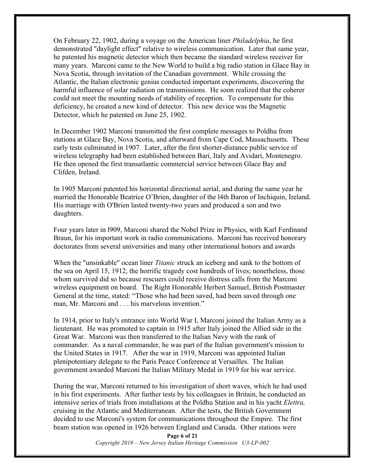On February 22, 1902, during a voyage on the American liner *Philadelphia*, he first demonstrated "daylight effect" relative to wireless communication. Later that same year, he patented his magnetic detector which then became the standard wireless receiver for many years. Marconi came to the New World to build a big radio station in Glace Bay in Nova Scotia, through invitation of the Canadian government. While crossing the Atlantic, the Italian electronic genius conducted important experiments, discovering the harmful influence of solar radiation on transmissions. He soon realized that the coherer could not meet the mounting needs of stability of reception. To compensate for this deficiency, he created a new kind of detector. This new device was the Magnetic Detector, which he patented on June 25, 1902.

In December 1902 Marconi transmitted the first complete messages to Poldhu from stations at Glace Bay, Nova Scotia, and afterward from Cape Cod, Massachusetts. These early tests culminated in 1907. Later, after the first shorter-distance public service of wireless telegraphy had been established between Bari, Italy and Avidari, Montenegro. He then opened the first transatlantic commercial service between Glace Bay and Clifden, Ireland.

In 1905 Marconi patented his horizontal directional aerial, and during the same year he married the Honorable Beatrice O'Brien, daughter of the l4th Baron of Inchiquin, Ireland. His marriage with O'Brien lasted twenty-two years and produced a son and two daughters.

Four years later in l909, Marconi shared the Nobel Prize in Physics, with Karl Ferdinand Braun, for his important work in radio communications. Marconi has received honorary doctorates from several universities and many other international honors and awards

When the "unsinkable" ocean liner *Titanic* struck an iceberg and sank to the bottom of the sea on April 15, 1912, the horrific tragedy cost hundreds of lives; nonetheless, those whom survived did so because rescuers could receive distress calls from the Marconi wireless equipment on board. The Right Honorable Herbert Samuel, British Postmaster General at the time, stated: "Those who had been saved, had been saved through one man, Mr. Marconi and . . . his marvelous invention."

In 1914, prior to Italy's entrance into World War I, Marconi joined the Italian Army as a lieutenant. He was promoted to captain in 1915 after Italy joined the Allied side in the Great War. Marconi was then transferred to the Italian Navy with the rank of commander. As a naval commander, he was part of the Italian government's mission to the United States in 1917. After the war in 1919, Marconi was appointed Italian plenipotentiary delegate to the Paris Peace Conference at Versailles. The Italian government awarded Marconi the Italian Military Medal in 1919 for his war service.

During the war, Marconi returned to his investigation of short waves, which he had used in his first experiments. After further tests by his colleagues in Britain, he conducted an intensive series of trials from installations at the Poldhu Station and in his yacht *Elettra,* cruising in the Atlantic and Mediterranean. After the tests, the British Government decided to use Marconi's system for communications throughout the Empire. The first beam station was opened in 1926 between England and Canada. Other stations were

> **Page 6 of 21** *Copyright 2019 – New Jersey Italian Heritage Commission U3-LP-002*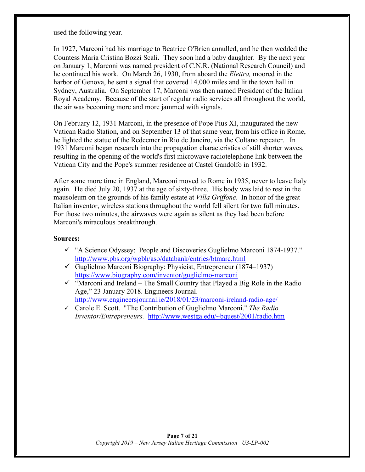used the following year.

In 1927, Marconi had his marriage to Beatrice O'Brien annulled, and he then wedded the Countess Maria Cristina Bozzi Scali. They soon had a baby daughter. By the next year on January 1, Marconi was named president of C.N.R. (National Research Council) and he continued his work. On March 26, 1930, from aboard the *Elettra,* moored in the harbor of Genova, he sent a signal that covered 14,000 miles and lit the town hall in Sydney, Australia. On September 17, Marconi was then named President of the Italian Royal Academy. Because of the start of regular radio services all throughout the world, the air was becoming more and more jammed with signals.

On February 12, 1931 Marconi, in the presence of Pope Pius XI, inaugurated the new Vatican Radio Station, and on September 13 of that same year, from his office in Rome, he lighted the statue of the Redeemer in Rio de Janeiro, via the Coltano repeater. In 1931 Marconi began research into the propagation characteristics of still shorter waves, resulting in the opening of the world's first microwave radiotelephone link between the Vatican City and the Pope's summer residence at Castel Gandolfo in 1932.

After some more time in England, Marconi moved to Rome in 1935, never to leave Italy again. He died July 20, 1937 at the age of sixty-three. His body was laid to rest in the mausoleum on the grounds of his family estate at *Villa Griffone*. In honor of the great Italian inventor, wireless stations throughout the world fell silent for two full minutes. For those two minutes, the airwaves were again as silent as they had been before Marconi's miraculous breakthrough.

#### **Sources:**

- ü "A Science Odyssey: People and Discoveries Guglielmo Marconi 1874-1937." http://www.pbs.org/wgbh/aso/databank/entries/btmarc.html
- $\checkmark$  Guglielmo Marconi Biography: Physicist, Entrepreneur (1874–1937) https://www.biography.com/inventor/guglielmo-marconi
- $\checkmark$  "Marconi and Ireland The Small Country that Played a Big Role in the Radio Age," 23 January 2018. Engineers Journal. http://www.engineersjournal.ie/2018/01/23/marconi-ireland-radio-age/
- ü Carole E. Scott. "The Contribution of Guglielmo Marconi." *The Radio Inventor/Entrepreneurs.* http://www.westga.edu/~bquest/2001/radio.htm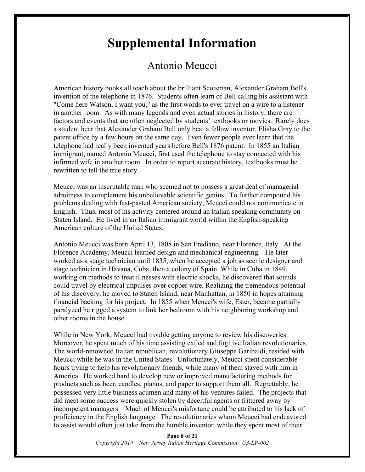# **Supplemental Information**

# Antonio Meucci

American history books all teach about the brilliant Scotsman, Alexander Graham Bell's invention of the telephone in 1876. Students often learn of Bell calling his assistant with "Come here Watson, I want you," as the first words to ever travel on a wire to a listener in another room. As with many legends and even actual stories in history, there are factors and events that are often neglected by students' textbooks or movies. Rarely does a student hear that Alexander Graham Bell only beat a fellow inventor, Elisha Gray to the patent office by a few hours on the same day. Even fewer people ever learn that the telephone had really been invented years before Bell's 1876 patent. In 1855 an Italian immigrant, named Antonio Meucci, first used the telephone to stay connected with his infirmed wife in another room. In order to report accurate history, textbooks must be rewritten to tell the true story.

Meucci was an inscrutable man who seemed not to possess a great deal of managerial adroitness to complement his unbelievable scientific genius. To further compound his problems dealing with fast-pasted American society, Meucci could not communicate in English. Thus, most of his activity centered around an Italian speaking community on Staten Island. He lived in an Italian immigrant world within the English-speaking American culture of the United States.

Antonio Meucci was born April 13, 1808 in San Frediano, near Florence, Italy. At the Florence Academy, Meucci learned design and mechanical engineering. He later worked as a stage technician until 1835, when he accepted a job as scenic designer and stage technician in Havana, Cuba, then a colony of Spain. While in Cuba in 1849, working on methods to treat illnesses with electric shocks, he discovered that sounds could travel by electrical impulses over copper wire. Realizing the tremendous potential of his discovery, he moved to Staten Island, near Manhattan, in 1850 in hopes attaining financial backing for his project. In 1855 when Meucci's wife, Ester, became partially paralyzed he rigged a system to link her bedroom with his neighboring workshop and other rooms in the house.

While in New York, Meucci had trouble getting anyone to review his discoveries. Moreover, he spent much of his time assisting exiled and fugitive Italian revolutionaries. The world-renowned Italian republican, revolutionary Giuseppe Garibaldi, resided with Meucci while he was in the United States. Unfortunately, Meucci spent considerable hours trying to help his revolutionary friends, while many of them stayed with him in America. He worked hard to develop new or improved manufacturing methods for products such as beer, candles, pianos, and paper to support them all. Regrettably, he possessed very little business acumen and many of his ventures failed. The projects that did meet some success were quickly stolen by deceitful agents or frittered away by incompetent managers. Much of Meucci's misfortune could be attributed to his lack of proficiency in the English language. The revolutionaries whom Meucci had endeavored to assist would often just take from the humble inventor, while they spent most of their

> **Page 8 of 21** *Copyright 2019 – New Jersey Italian Heritage Commission U3-LP-002*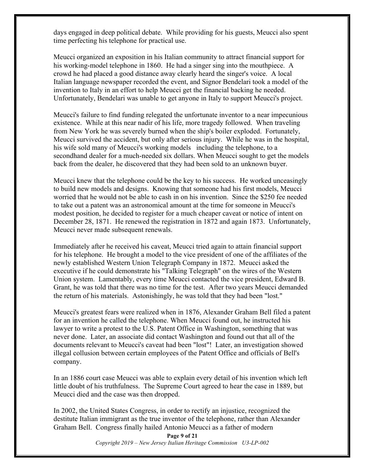days engaged in deep political debate. While providing for his guests, Meucci also spent time perfecting his telephone for practical use.

Meucci organized an exposition in his Italian community to attract financial support for his working-model telephone in 1860. He had a singer sing into the mouthpiece. A crowd he had placed a good distance away clearly heard the singer's voice. A local Italian language newspaper recorded the event, and Signor Bendelari took a model of the invention to Italy in an effort to help Meucci get the financial backing he needed. Unfortunately, Bendelari was unable to get anyone in Italy to support Meucci's project.

Meucci's failure to find funding relegated the unfortunate inventor to a near impecunious existence. While at this near nadir of his life, more tragedy followed. When traveling from New York he was severely burned when the ship's boiler exploded. Fortunately, Meucci survived the accident, but only after serious injury. While he was in the hospital, his wife sold many of Meucci's working models including the telephone, to a secondhand dealer for a much-needed six dollars. When Meucci sought to get the models back from the dealer, he discovered that they had been sold to an unknown buyer.

Meucci knew that the telephone could be the key to his success. He worked unceasingly to build new models and designs. Knowing that someone had his first models, Meucci worried that he would not be able to cash in on his invention. Since the \$250 fee needed to take out a patent was an astronomical amount at the time for someone in Meucci's modest position, he decided to register for a much cheaper caveat or notice of intent on December 28, 1871. He renewed the registration in 1872 and again 1873. Unfortunately, Meucci never made subsequent renewals.

Immediately after he received his caveat, Meucci tried again to attain financial support for his telephone. He brought a model to the vice president of one of the affiliates of the newly established Western Union Telegraph Company in 1872. Meucci asked the executive if he could demonstrate his "Talking Telegraph" on the wires of the Western Union system. Lamentably, every time Meucci contacted the vice president, Edward B. Grant, he was told that there was no time for the test. After two years Meucci demanded the return of his materials. Astonishingly, he was told that they had been "lost."

Meucci's greatest fears were realized when in 1876, Alexander Graham Bell filed a patent for an invention he called the telephone. When Meucci found out, he instructed his lawyer to write a protest to the U.S. Patent Office in Washington, something that was never done. Later, an associate did contact Washington and found out that all of the documents relevant to Meucci's caveat had been "lost"! Later, an investigation showed illegal collusion between certain employees of the Patent Office and officials of Bell's company.

In an 1886 court case Meucci was able to explain every detail of his invention which left little doubt of his truthfulness. The Supreme Court agreed to hear the case in 1889, but Meucci died and the case was then dropped.

In 2002, the United States Congress, in order to rectify an injustice, recognized the destitute Italian immigrant as the true inventor of the telephone, rather than Alexander Graham Bell. Congress finally hailed Antonio Meucci as a father of modern

> **Page 9 of 21** *Copyright 2019 – New Jersey Italian Heritage Commission U3-LP-002*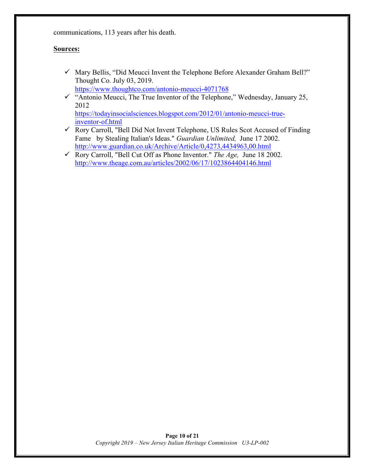communications, 113 years after his death.

#### **Sources:**

 $\checkmark$  Mary Bellis, "Did Meucci Invent the Telephone Before Alexander Graham Bell?" Thought Co. July 03, 2019. https://www.thoughtco.com/antonio-meucci-4071768

 $\checkmark$  "Antonio Meucci, The True Inventor of the Telephone," Wednesday, January 25, 2012

https://todayinsocialsciences.blogspot.com/2012/01/antonio-meucci-trueinventor-of.html

- $\checkmark$  Rory Carroll, "Bell Did Not Invent Telephone, US Rules Scot Accused of Finding Fame by Stealing Italian's Ideas." *Guardian Unlimited,* June 17 2002. http://www.guardian.co.uk/Archive/Article/0,4273,4434963,00.html
- ü Rory Carroll, "Bell Cut Off as Phone Inventor." *The Age,* June 18 2002. http://www.theage.com.au/articles/2002/06/17/1023864404146.html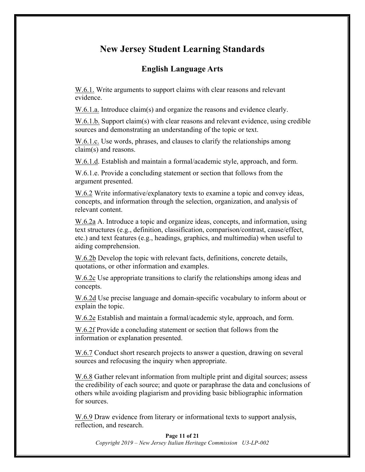# **New Jersey Student Learning Standards**

## **English Language Arts**

W.6.1. Write arguments to support claims with clear reasons and relevant evidence.

W.6.1.a. Introduce claim(s) and organize the reasons and evidence clearly.

W.6.1.b. Support claim(s) with clear reasons and relevant evidence, using credible sources and demonstrating an understanding of the topic or text.

W.6.1.c. Use words, phrases, and clauses to clarify the relationships among claim(s) and reasons.

W.6.1.d. Establish and maintain a formal/academic style, approach, and form.

W.6.1.e. Provide a concluding statement or section that follows from the argument presented.

W.6.2 Write informative/explanatory texts to examine a topic and convey ideas, concepts, and information through the selection, organization, and analysis of relevant content.

W.6.2a A. Introduce a topic and organize ideas, concepts, and information, using text structures (e.g., definition, classification, comparison/contrast, cause/effect, etc.) and text features (e.g., headings, graphics, and multimedia) when useful to aiding comprehension.

W.6.2b Develop the topic with relevant facts, definitions, concrete details, quotations, or other information and examples.

W.6.2c Use appropriate transitions to clarify the relationships among ideas and concepts.

W.6.2d Use precise language and domain-specific vocabulary to inform about or explain the topic.

W.6.2e Establish and maintain a formal/academic style, approach, and form.

W.6.2f Provide a concluding statement or section that follows from the information or explanation presented.

W.6.7 Conduct short research projects to answer a question, drawing on several sources and refocusing the inquiry when appropriate.

W.6.8 Gather relevant information from multiple print and digital sources; assess the credibility of each source; and quote or paraphrase the data and conclusions of others while avoiding plagiarism and providing basic bibliographic information for sources.

W.6.9 Draw evidence from literary or informational texts to support analysis, reflection, and research.

#### **Page 11 of 21**

*Copyright 2019 – New Jersey Italian Heritage Commission U3-LP-002*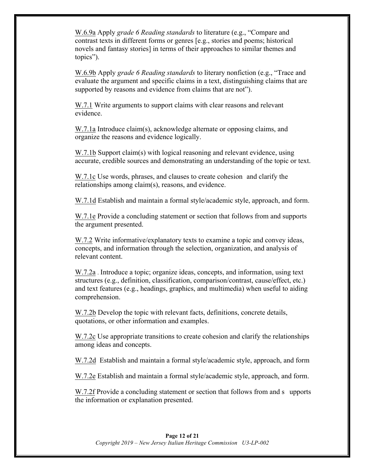W.6.9a Apply *grade 6 Reading standards* to literature (e.g., "Compare and contrast texts in different forms or genres [e.g., stories and poems; historical novels and fantasy stories] in terms of their approaches to similar themes and topics").

W.6.9b Apply *grade 6 Reading standards* to literary nonfiction (e.g., "Trace and evaluate the argument and specific claims in a text, distinguishing claims that are supported by reasons and evidence from claims that are not").

W.7.1 Write arguments to support claims with clear reasons and relevant evidence.

W.7.1a Introduce claim(s), acknowledge alternate or opposing claims, and organize the reasons and evidence logically.

W.7.1b Support claim(s) with logical reasoning and relevant evidence, using accurate, credible sources and demonstrating an understanding of the topic or text.

W.7.1c Use words, phrases, and clauses to create cohesion and clarify the relationships among claim(s), reasons, and evidence.

W.7.1d Establish and maintain a formal style/academic style, approach, and form.

W.7.1e Provide a concluding statement or section that follows from and supports the argument presented.

W.7.2 Write informative/explanatory texts to examine a topic and convey ideas, concepts, and information through the selection, organization, and analysis of relevant content.

W.7.2a . Introduce a topic; organize ideas, concepts, and information, using text structures (e.g., definition, classification, comparison/contrast, cause/effect, etc.) and text features (e.g., headings, graphics, and multimedia) when useful to aiding comprehension.

W.7.2b Develop the topic with relevant facts, definitions, concrete details, quotations, or other information and examples.

W.7.2c Use appropriate transitions to create cohesion and clarify the relationships among ideas and concepts.

W.7.2d Establish and maintain a formal style/academic style, approach, and form

W.7.2e Establish and maintain a formal style/academic style, approach, and form.

W.7.2f Provide a concluding statement or section that follows from and s upports the information or explanation presented.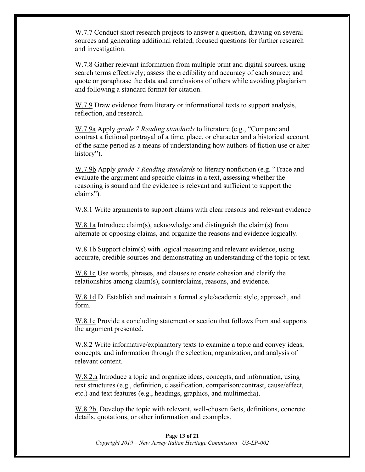W.7.7 Conduct short research projects to answer a question, drawing on several sources and generating additional related, focused questions for further research and investigation.

W.7.8 Gather relevant information from multiple print and digital sources, using search terms effectively; assess the credibility and accuracy of each source; and quote or paraphrase the data and conclusions of others while avoiding plagiarism and following a standard format for citation.

W.7.9 Draw evidence from literary or informational texts to support analysis, reflection, and research.

W.7.9a Apply *grade 7 Reading standards* to literature (e.g., "Compare and contrast a fictional portrayal of a time, place, or character and a historical account of the same period as a means of understanding how authors of fiction use or alter history").

W.7.9b Apply *grade 7 Reading standards* to literary nonfiction (e.g. "Trace and evaluate the argument and specific claims in a text, assessing whether the reasoning is sound and the evidence is relevant and sufficient to support the claims").

W.8.1 Write arguments to support claims with clear reasons and relevant evidence

W.8.1a Introduce claim(s), acknowledge and distinguish the claim(s) from alternate or opposing claims, and organize the reasons and evidence logically.

W.8.1b Support claim(s) with logical reasoning and relevant evidence, using accurate, credible sources and demonstrating an understanding of the topic or text.

W.8.1c Use words, phrases, and clauses to create cohesion and clarify the relationships among claim(s), counterclaims, reasons, and evidence.

W.8.1d D. Establish and maintain a formal style/academic style, approach, and form.

W.8.1e Provide a concluding statement or section that follows from and supports the argument presented.

W.8.2 Write informative/explanatory texts to examine a topic and convey ideas, concepts, and information through the selection, organization, and analysis of relevant content.

W.8.2.a Introduce a topic and organize ideas, concepts, and information, using text structures (e.g., definition, classification, comparison/contrast, cause/effect, etc.) and text features (e.g., headings, graphics, and multimedia).

W.8.2b. Develop the topic with relevant, well-chosen facts, definitions, concrete details, quotations, or other information and examples.

#### **Page 13 of 21**

*Copyright 2019 – New Jersey Italian Heritage Commission U3-LP-002*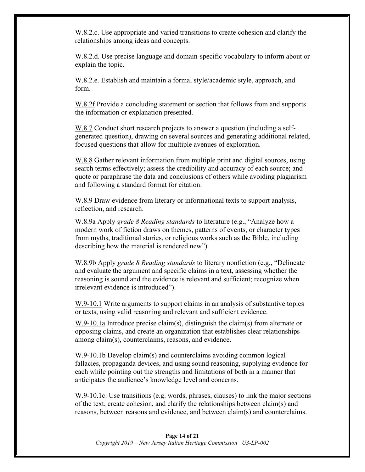W.8.2.c. Use appropriate and varied transitions to create cohesion and clarify the relationships among ideas and concepts.

W.8.2.d. Use precise language and domain-specific vocabulary to inform about or explain the topic.

W.8.2.e. Establish and maintain a formal style/academic style, approach, and form.

W.8.2f Provide a concluding statement or section that follows from and supports the information or explanation presented.

W.8.7 Conduct short research projects to answer a question (including a selfgenerated question), drawing on several sources and generating additional related, focused questions that allow for multiple avenues of exploration.

W.8.8 Gather relevant information from multiple print and digital sources, using search terms effectively; assess the credibility and accuracy of each source; and quote or paraphrase the data and conclusions of others while avoiding plagiarism and following a standard format for citation.

W.8.9 Draw evidence from literary or informational texts to support analysis, reflection, and research.

W.8.9a Apply *grade 8 Reading standards* to literature (e.g., "Analyze how a modern work of fiction draws on themes, patterns of events, or character types from myths, traditional stories, or religious works such as the Bible, including describing how the material is rendered new").

W.8.9b Apply *grade 8 Reading standards* to literary nonfiction (e.g., "Delineate and evaluate the argument and specific claims in a text, assessing whether the reasoning is sound and the evidence is relevant and sufficient; recognize when irrelevant evidence is introduced").

W.9-10.1 Write arguments to support claims in an analysis of substantive topics or texts, using valid reasoning and relevant and sufficient evidence.

W.9-10.1a Introduce precise claim(s), distinguish the claim(s) from alternate or opposing claims, and create an organization that establishes clear relationships among claim(s), counterclaims, reasons, and evidence.

W.9-10.1b Develop claim(s) and counterclaims avoiding common logical fallacies, propaganda devices, and using sound reasoning, supplying evidence for each while pointing out the strengths and limitations of both in a manner that anticipates the audience's knowledge level and concerns.

W.9-10.1c. Use transitions (e.g. words, phrases, clauses) to link the major sections of the text, create cohesion, and clarify the relationships between claim(s) and reasons, between reasons and evidence, and between claim(s) and counterclaims.

#### **Page 14 of 21** *Copyright 2019 – New Jersey Italian Heritage Commission U3-LP-002*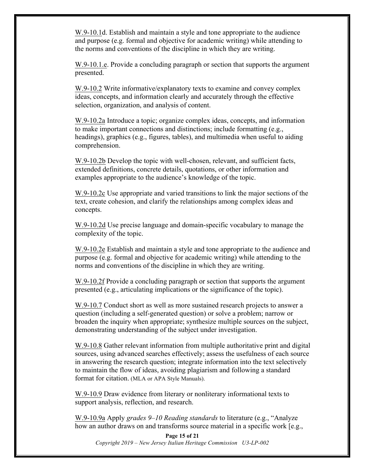W.9-10.1d. Establish and maintain a style and tone appropriate to the audience and purpose (e.g. formal and objective for academic writing) while attending to the norms and conventions of the discipline in which they are writing.

W.9-10.1.e. Provide a concluding paragraph or section that supports the argument presented.

W.9-10.2 Write informative/explanatory texts to examine and convey complex ideas, concepts, and information clearly and accurately through the effective selection, organization, and analysis of content.

W.9-10.2a Introduce a topic; organize complex ideas, concepts, and information to make important connections and distinctions; include formatting (e.g., headings), graphics (e.g., figures, tables), and multimedia when useful to aiding comprehension.

W.9-10.2b Develop the topic with well-chosen, relevant, and sufficient facts, extended definitions, concrete details, quotations, or other information and examples appropriate to the audience's knowledge of the topic.

W.9-10.2c Use appropriate and varied transitions to link the major sections of the text, create cohesion, and clarify the relationships among complex ideas and concepts.

W.9-10.2d Use precise language and domain-specific vocabulary to manage the complexity of the topic.

W.9-10.2e Establish and maintain a style and tone appropriate to the audience and purpose (e.g. formal and objective for academic writing) while attending to the norms and conventions of the discipline in which they are writing.

W.9-10.2f Provide a concluding paragraph or section that supports the argument presented (e.g., articulating implications or the significance of the topic).

W.9-10.7 Conduct short as well as more sustained research projects to answer a question (including a self-generated question) or solve a problem; narrow or broaden the inquiry when appropriate; synthesize multiple sources on the subject, demonstrating understanding of the subject under investigation.

W.9-10.8 Gather relevant information from multiple authoritative print and digital sources, using advanced searches effectively; assess the usefulness of each source in answering the research question; integrate information into the text selectively to maintain the flow of ideas, avoiding plagiarism and following a standard format for citation. (MLA or APA Style Manuals).

W.9-10.9 Draw evidence from literary or nonliterary informational texts to support analysis, reflection, and research.

W.9-10.9a Apply *grades 9–10 Reading standards* to literature (e.g., "Analyze how an author draws on and transforms source material in a specific work [e.g.,

**Page 15 of 21** *Copyright 2019 – New Jersey Italian Heritage Commission U3-LP-002*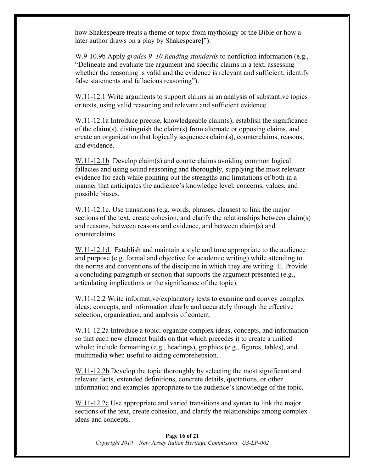how Shakespeare treats a theme or topic from mythology or the Bible or how a later author draws on a play by Shakespeare]").

W.9-10.9b Apply *grades 9–10 Reading standards* to nonfiction information (e.g., "Delineate and evaluate the argument and specific claims in a text, assessing whether the reasoning is valid and the evidence is relevant and sufficient; identify false statements and fallacious reasoning").

W.11-12.1 Write arguments to support claims in an analysis of substantive topics or texts, using valid reasoning and relevant and sufficient evidence.

W.11-12.1a Introduce precise, knowledgeable claim(s), establish the significance of the claim(s), distinguish the claim(s) from alternate or opposing claims, and create an organization that logically sequences claim(s), counterclaims, reasons, and evidence.

W.11-12.1b Develop claim(s) and counterclaims avoiding common logical fallacies and using sound reasoning and thoroughly, supplying the most relevant evidence for each while pointing out the strengths and limitations of both in a manner that anticipates the audience's knowledge level, concerns, values, and possible biases.

W.11-12.1c. Use transitions (e.g. words, phrases, clauses) to link the major sections of the text, create cohesion, and clarify the relationships between claim(s) and reasons, between reasons and evidence, and between claim(s) and counterclaims.

W.11-12.1d. Establish and maintain a style and tone appropriate to the audience and purpose (e.g. formal and objective for academic writing) while attending to the norms and conventions of the discipline in which they are writing. E. Provide a concluding paragraph or section that supports the argument presented (e.g., articulating implications or the significance of the topic).

W.11-12.2 Write informative/explanatory texts to examine and convey complex ideas, concepts, and information clearly and accurately through the effective selection, organization, and analysis of content.

W.11-12.2a Introduce a topic; organize complex ideas, concepts, and information so that each new element builds on that which precedes it to create a unified whole; include formatting (e.g., headings), graphics (e.g., figures, tables), and multimedia when useful to aiding comprehension.

W.11-12.2b Develop the topic thoroughly by selecting the most significant and relevant facts, extended definitions, concrete details, quotations, or other information and examples appropriate to the audience's knowledge of the topic.

W.11-12.2c Use appropriate and varied transitions and syntax to link the major sections of the text, create cohesion, and clarify the relationships among complex ideas and concepts.

**Page 16 of 21** *Copyright 2019 – New Jersey Italian Heritage Commission U3-LP-002*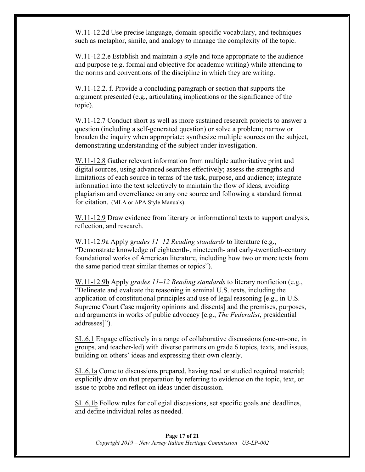W.11-12.2d Use precise language, domain-specific vocabulary, and techniques such as metaphor, simile, and analogy to manage the complexity of the topic.

W.11-12.2.e Establish and maintain a style and tone appropriate to the audience and purpose (e.g. formal and objective for academic writing) while attending to the norms and conventions of the discipline in which they are writing.

W.11-12.2. f. Provide a concluding paragraph or section that supports the argument presented (e.g., articulating implications or the significance of the topic).

W.11-12.7 Conduct short as well as more sustained research projects to answer a question (including a self-generated question) or solve a problem; narrow or broaden the inquiry when appropriate; synthesize multiple sources on the subject, demonstrating understanding of the subject under investigation.

W.11-12.8 Gather relevant information from multiple authoritative print and digital sources, using advanced searches effectively; assess the strengths and limitations of each source in terms of the task, purpose, and audience; integrate information into the text selectively to maintain the flow of ideas, avoiding plagiarism and overreliance on any one source and following a standard format for citation. (MLA or APA Style Manuals).

W.11-12.9 Draw evidence from literary or informational texts to support analysis, reflection, and research.

W.11-12.9a Apply g*rades 11–12 Reading standards* to literature (e.g., "Demonstrate knowledge of eighteenth-, nineteenth- and early-twentieth-century foundational works of American literature, including how two or more texts from the same period treat similar themes or topics").

W.11-12.9b Apply *grades 11–12 Reading standards* to literary nonfiction (e.g., "Delineate and evaluate the reasoning in seminal U.S. texts, including the application of constitutional principles and use of legal reasoning [e.g., in U.S. Supreme Court Case majority opinions and dissents] and the premises, purposes, and arguments in works of public advocacy [e.g., *The Federalist*, presidential addresses]").

SL.6.1 Engage effectively in a range of collaborative discussions (one-on-one, in groups, and teacher-led) with diverse partners on grade 6 topics, texts, and issues, building on others' ideas and expressing their own clearly.

SL.6.1a Come to discussions prepared, having read or studied required material; explicitly draw on that preparation by referring to evidence on the topic, text, or issue to probe and reflect on ideas under discussion.

SL.6.1b Follow rules for collegial discussions, set specific goals and deadlines, and define individual roles as needed.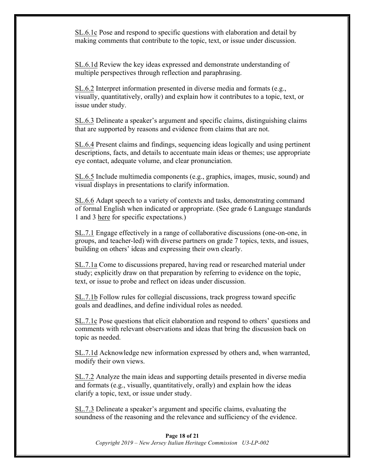SL.6.1c Pose and respond to specific questions with elaboration and detail by making comments that contribute to the topic, text, or issue under discussion.

SL.6.1d Review the key ideas expressed and demonstrate understanding of multiple perspectives through reflection and paraphrasing.

SL.6.2 Interpret information presented in diverse media and formats (e.g., visually, quantitatively, orally) and explain how it contributes to a topic, text, or issue under study.

SL.6.3 Delineate a speaker's argument and specific claims, distinguishing claims that are supported by reasons and evidence from claims that are not.

SL.6.4 Present claims and findings, sequencing ideas logically and using pertinent descriptions, facts, and details to accentuate main ideas or themes; use appropriate eye contact, adequate volume, and clear pronunciation.

SL.6.5 Include multimedia components (e.g., graphics, images, music, sound) and visual displays in presentations to clarify information.

SL.6.6 Adapt speech to a variety of contexts and tasks, demonstrating command of formal English when indicated or appropriate. (See grade 6 Language standards 1 and 3 here for specific expectations.)

SL.7.1 Engage effectively in a range of collaborative discussions (one-on-one, in groups, and teacher-led) with diverse partners on grade 7 topics, texts, and issues, building on others' ideas and expressing their own clearly.

SL.7.1a Come to discussions prepared, having read or researched material under study; explicitly draw on that preparation by referring to evidence on the topic, text, or issue to probe and reflect on ideas under discussion.

SL.7.1b Follow rules for collegial discussions, track progress toward specific goals and deadlines, and define individual roles as needed.

SL.7.1c Pose questions that elicit elaboration and respond to others' questions and comments with relevant observations and ideas that bring the discussion back on topic as needed.

SL.7.1d Acknowledge new information expressed by others and, when warranted, modify their own views.

SL.7.2 Analyze the main ideas and supporting details presented in diverse media and formats (e.g., visually, quantitatively, orally) and explain how the ideas clarify a topic, text, or issue under study.

SL.7.3 Delineate a speaker's argument and specific claims, evaluating the soundness of the reasoning and the relevance and sufficiency of the evidence.

#### **Page 18 of 21** *Copyright 2019 – New Jersey Italian Heritage Commission U3-LP-002*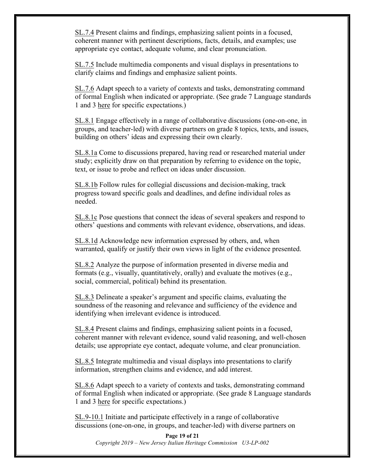SL.7.4 Present claims and findings, emphasizing salient points in a focused, coherent manner with pertinent descriptions, facts, details, and examples; use appropriate eye contact, adequate volume, and clear pronunciation.

SL.7.5 Include multimedia components and visual displays in presentations to clarify claims and findings and emphasize salient points.

SL.7.6 Adapt speech to a variety of contexts and tasks, demonstrating command of formal English when indicated or appropriate. (See grade 7 Language standards 1 and 3 here for specific expectations.)

SL.8.1 Engage effectively in a range of collaborative discussions (one-on-one, in groups, and teacher-led) with diverse partners on grade 8 topics, texts, and issues, building on others' ideas and expressing their own clearly.

SL.8.1a Come to discussions prepared, having read or researched material under study; explicitly draw on that preparation by referring to evidence on the topic, text, or issue to probe and reflect on ideas under discussion.

SL.8.1b Follow rules for collegial discussions and decision-making, track progress toward specific goals and deadlines, and define individual roles as needed.

SL.8.1c Pose questions that connect the ideas of several speakers and respond to others' questions and comments with relevant evidence, observations, and ideas.

SL.8.1d Acknowledge new information expressed by others, and, when warranted, qualify or justify their own views in light of the evidence presented.

SL.8.2 Analyze the purpose of information presented in diverse media and formats (e.g., visually, quantitatively, orally) and evaluate the motives (e.g., social, commercial, political) behind its presentation.

SL.8.3 Delineate a speaker's argument and specific claims, evaluating the soundness of the reasoning and relevance and sufficiency of the evidence and identifying when irrelevant evidence is introduced.

SL.8.4 Present claims and findings, emphasizing salient points in a focused, coherent manner with relevant evidence, sound valid reasoning, and well-chosen details; use appropriate eye contact, adequate volume, and clear pronunciation.

SL.8.5 Integrate multimedia and visual displays into presentations to clarify information, strengthen claims and evidence, and add interest.

SL.8.6 Adapt speech to a variety of contexts and tasks, demonstrating command of formal English when indicated or appropriate. (See grade 8 Language standards 1 and 3 here for specific expectations.)

SL.9-10.1 Initiate and participate effectively in a range of collaborative discussions (one-on-one, in groups, and teacher-led) with diverse partners on

**Page 19 of 21** *Copyright 2019 – New Jersey Italian Heritage Commission U3-LP-002*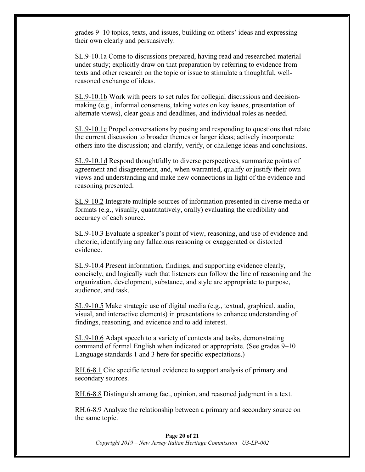grades 9–10 topics, texts, and issues, building on others' ideas and expressing their own clearly and persuasively.

SL.9-10.1a Come to discussions prepared, having read and researched material under study; explicitly draw on that preparation by referring to evidence from texts and other research on the topic or issue to stimulate a thoughtful, wellreasoned exchange of ideas.

SL.9-10.1b Work with peers to set rules for collegial discussions and decisionmaking (e.g., informal consensus, taking votes on key issues, presentation of alternate views), clear goals and deadlines, and individual roles as needed.

SL.9-10.1c Propel conversations by posing and responding to questions that relate the current discussion to broader themes or larger ideas; actively incorporate others into the discussion; and clarify, verify, or challenge ideas and conclusions.

SL.9-10.1d Respond thoughtfully to diverse perspectives, summarize points of agreement and disagreement, and, when warranted, qualify or justify their own views and understanding and make new connections in light of the evidence and reasoning presented.

SL.9-10.2 Integrate multiple sources of information presented in diverse media or formats (e.g., visually, quantitatively, orally) evaluating the credibility and accuracy of each source.

SL.9-10.3 Evaluate a speaker's point of view, reasoning, and use of evidence and rhetoric, identifying any fallacious reasoning or exaggerated or distorted evidence.

SL.9-10.4 Present information, findings, and supporting evidence clearly, concisely, and logically such that listeners can follow the line of reasoning and the organization, development, substance, and style are appropriate to purpose, audience, and task.

SL.9-10.5 Make strategic use of digital media (e.g., textual, graphical, audio, visual, and interactive elements) in presentations to enhance understanding of findings, reasoning, and evidence and to add interest.

SL.9-10.6 Adapt speech to a variety of contexts and tasks, demonstrating command of formal English when indicated or appropriate. (See grades 9–10 Language standards 1 and 3 here for specific expectations.)

RH.6-8.1 Cite specific textual evidence to support analysis of primary and secondary sources.

RH.6-8.8 Distinguish among fact, opinion, and reasoned judgment in a text.

RH.6-8.9 Analyze the relationship between a primary and secondary source on the same topic.

#### **Page 20 of 21** *Copyright 2019 – New Jersey Italian Heritage Commission U3-LP-002*